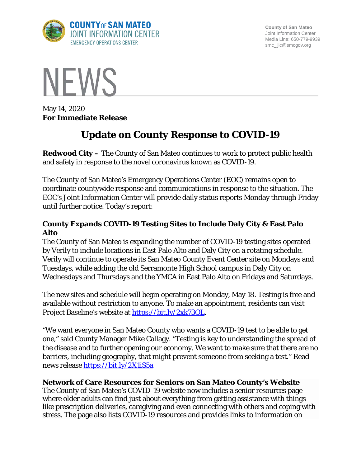

**County of San Mateo** Joint Information Center Media Line: 650-779-9939 smc\_ jic@smcgov.org



May 14, 2020 **For Immediate Release**

# **Update on County Response to COVID-19**

**Redwood City –** The County of San Mateo continues to work to protect public health and safety in response to the novel coronavirus known as COVID-19.

The County of San Mateo's Emergency Operations Center (EOC) remains open to coordinate countywide response and communications in response to the situation. The EOC's Joint Information Center will provide daily status reports Monday through Friday until further notice. Today's report:

## **County Expands COVID-19 Testing Sites to Include Daly City & East Palo Alto**

The County of San Mateo is expanding the number of COVID-19 testing sites operated by Verily to include locations in East Palo Alto and Daly City on a rotating schedule. Verily will continue to operate its San Mateo County Event Center site on Mondays and Tuesdays, while adding the old Serramonte High School campus in Daly City on Wednesdays and Thursdays and the YMCA in East Palo Alto on Fridays and Saturdays.

The new sites and schedule will begin operating on Monday, May 18. Testing is free and available without restriction to anyone. To make an appointment, residents can visit Project Baseline's website at [https://bit.ly/2xk73OL.](https://bit.ly/2xk73OL)

"We want everyone in San Mateo County who wants a COVID-19 test to be able to get one," said County Manager Mike Callagy. "Testing is key to understanding the spread of the disease and to further opening our economy. We want to make sure that there are no barriers, including geography, that might prevent someone from seeking a test." Read news release <https://bit.ly/2X1iS5a>

## **Network of Care Resources for Seniors on San Mateo County's Website**

The County of San Mateo's COVID-19 website now includes a senior resources page where older adults can find just about everything from getting assistance with things like prescription deliveries, caregiving and even connecting with others and coping with stress. The page also lists COVID-19 resources and provides links to information on